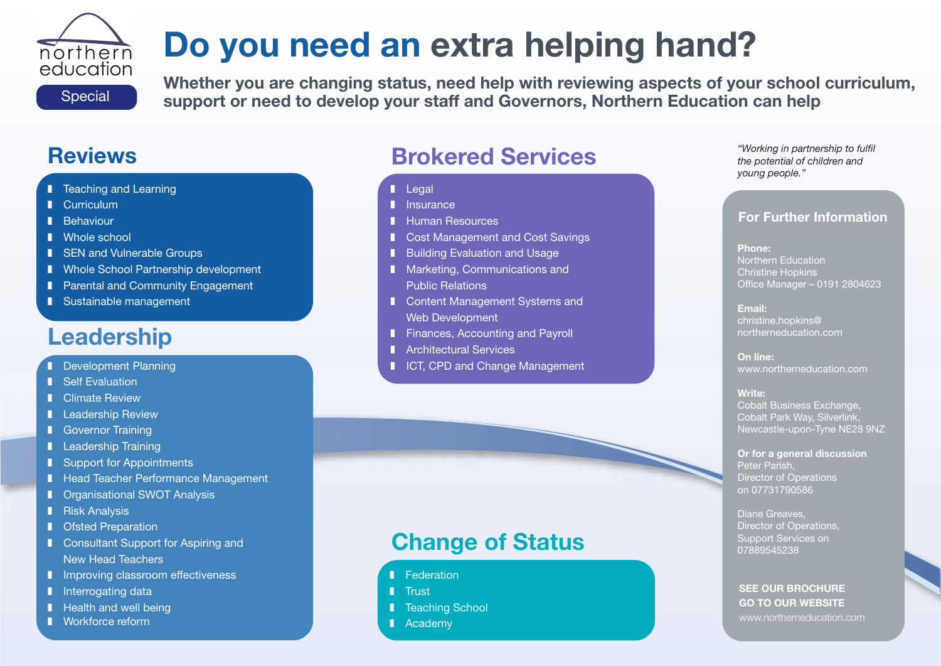# **Do you need an extra helping hand?** northern

Special

education

**Whether you are changing status, need help with reviewing aspects of your school curriculum, support or need to develop your staff and Governors, Northern Education can help**

# **Reviews**

- **I** Teaching and Learning
- **I** Curriculum
- **❚** Behaviour
- **I** Whole school
- **I** SEN and Vulnerable Groups
- Whole School Partnership development
- Parental and Community Engagement
- **❚** Sustainable management

# **Leadership**

- 
- Self Evaluation
- **I** Climate Review
- **❚** Leadership Review
- **I** Governor Training
- **I** Leadership Training
- Support for Appointments
- Head Teacher Performance Management
- Organisational SWOT Analysis
- **l** Risk Analysis
- **I** Ofsted Preparation
- Consultant Support for Aspiring and New Head Teachers
- **I** Improving classroom effectiveness
- **l** Interrogating data
- Health and well being
- **❚** Workforce reform

# **Brokered Services**

- **❚** Legal
- **l** Insurance
- **❚** Human Resources
- Cost Management and Cost Savings
- Building Evaluation and Usage
- Marketing, Communications and Public Relations
- Content Management Systems and Web Development
- Finances, Accounting and Payroll
- **I** Architectural Services
- **■** Development Planning  **ICT, CPD and Change Management**

# **Change of Status**

- **l** Federation
- **❚** Trust
- Teaching School
- **❚** Academy

#### *"Working in partnership to fulfil the potential of children and young people."*

### **For Further Information**

#### **Phone:** Northern Education Christine Hopkins Office Manager – 0191 2804623

**Email:** christine.hopkins@ northerneducation.com

**On line:** www.northerneducation.com

#### **Write:**

Cobalt Business Exchange, Cobalt Park Way, Silverlink, Newcastle-upon-Tyne NE28 9NZ

#### **Or for a general discussion** Peter Parish, Director of Operations on 07731790586

Diane Greaves, Director of Operations, Support Services on 07889545238

#### **SEE OUR BROCHURE GO TO OUR WEBSITE** www.northerneducation.com